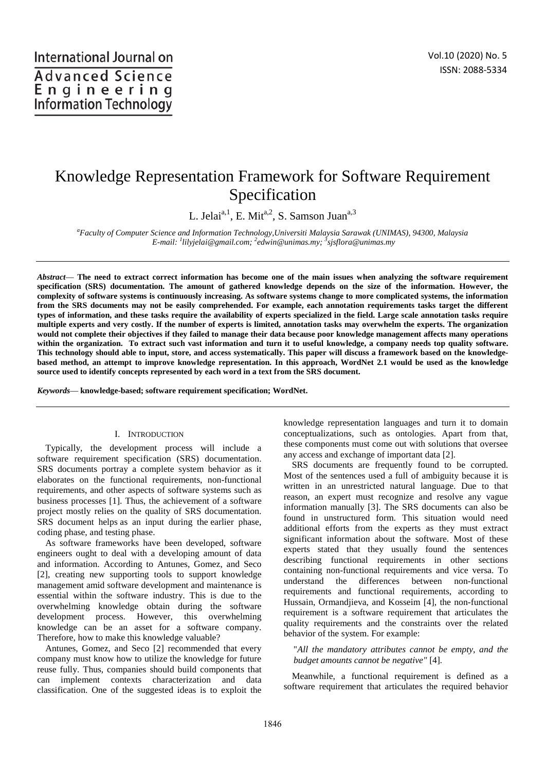# Knowledge Representation Framework for Software Requirement Specification

L. Jelai<sup>a, 1</sup>, E. Mit<sup>a, 2</sup>, S. Samson Juan<sup>a, 3</sup>

*<sup>a</sup>Faculty of Computer Science and Information Technology,Universiti Malaysia Sarawak (UNIMAS), 94300, Malaysia E-mail: <sup>1</sup> lilyjelai@gmail.com; <sup>2</sup> edwin@unimas.my; <sup>3</sup> sjsflora@unimas.my* 

*Abstract*— **The need to extract correct information has become one of the main issues when analyzing the software requirement specification (SRS) documentation. The amount of gathered knowledge depends on the size of the information. However, the complexity of software systems is continuously increasing. As software systems change to more complicated systems, the information from the SRS documents may not be easily comprehended. For example, each annotation requirements tasks target the different types of information, and these tasks require the availability of experts specialized in the field. Large scale annotation tasks require multiple experts and very costly. If the number of experts is limited, annotation tasks may overwhelm the experts. The organization would not complete their objectives if they failed to manage their data because poor knowledge management affects many operations within the organization. To extract such vast information and turn it to useful knowledge, a company needs top quality software. This technology should able to input, store, and access systematically. This paper will discuss a framework based on the knowledgebased method, an attempt to improve knowledge representation. In this approach, WordNet 2.1 would be used as the knowledge source used to identify concepts represented by each word in a text from the SRS document.** 

*Keywords*— **knowledge-based; software requirement specification; WordNet.** 

#### I. INTRODUCTION

Typically, the development process will include a software requirement specification (SRS) documentation. SRS documents portray a complete system behavior as it elaborates on the functional requirements, non-functional requirements, and other aspects of software systems such as business processes [1]. Thus, the achievement of a software project mostly relies on the quality of SRS documentation. SRS document helps as an input during the earlier phase, coding phase, and testing phase.

As software frameworks have been developed, software engineers ought to deal with a developing amount of data and information. According to Antunes, Gomez, and Seco [2], creating new supporting tools to support knowledge management amid software development and maintenance is essential within the software industry. This is due to the overwhelming knowledge obtain during the software development process. However, this overwhelming knowledge can be an asset for a software company. Therefore, how to make this knowledge valuable?

Antunes, Gomez, and Seco [2] recommended that every company must know how to utilize the knowledge for future reuse fully. Thus, companies should build components that can implement contexts characterization and data classification. One of the suggested ideas is to exploit the

knowledge representation languages and turn it to domain conceptualizations, such as ontologies. Apart from that, these components must come out with solutions that oversee any access and exchange of important data [2].

SRS documents are frequently found to be corrupted. Most of the sentences used a full of ambiguity because it is written in an unrestricted natural language. Due to that reason, an expert must recognize and resolve any vague information manually [3]. The SRS documents can also be found in unstructured form. This situation would need additional efforts from the experts as they must extract significant information about the software. Most of these experts stated that they usually found the sentences describing functional requirements in other sections containing non-functional requirements and vice versa. To understand the differences between non-functional requirements and functional requirements, according to Hussain, Ormandjieva, and Kosseim [4], the non-functional requirement is a software requirement that articulates the quality requirements and the constraints over the related behavior of the system. For example:

## "*All the mandatory attributes cannot be empty, and the budget amounts cannot be negative"* [4]*.*

Meanwhile, a functional requirement is defined as a software requirement that articulates the required behavior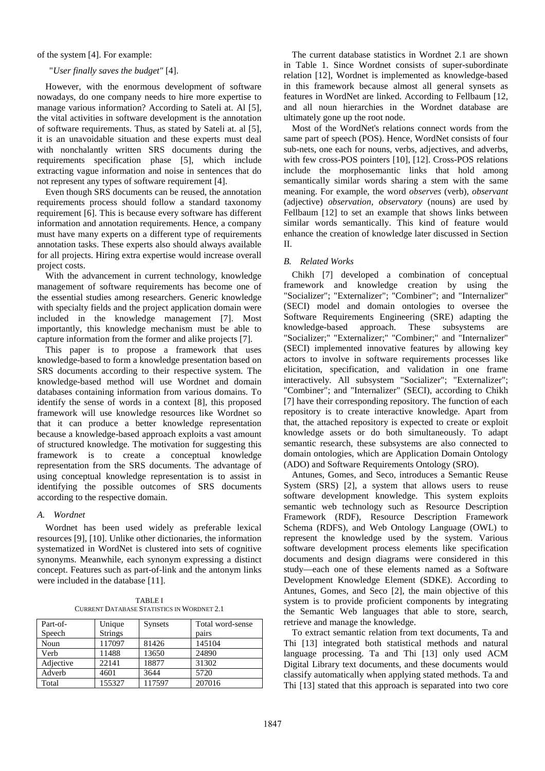of the system [4]. For example:

#### "*User finally saves the budget"* [4].

However, with the enormous development of software nowadays, do one company needs to hire more expertise to manage various information? According to Sateli at. Al [5], the vital activities in software development is the annotation of software requirements. Thus, as stated by Sateli at. al [5], it is an unavoidable situation and these experts must deal with nonchalantly written SRS documents during the requirements specification phase [5], which include extracting vague information and noise in sentences that do not represent any types of software requirement [4].

Even though SRS documents can be reused, the annotation requirements process should follow a standard taxonomy requirement [6]. This is because every software has different information and annotation requirements. Hence, a company must have many experts on a different type of requirements annotation tasks. These experts also should always available for all projects. Hiring extra expertise would increase overall project costs.

With the advancement in current technology, knowledge management of software requirements has become one of the essential studies among researchers. Generic knowledge with specialty fields and the project application domain were included in the knowledge management [7]. Most importantly, this knowledge mechanism must be able to capture information from the former and alike projects [7].

This paper is to propose a framework that uses knowledge-based to form a knowledge presentation based on SRS documents according to their respective system. The knowledge-based method will use Wordnet and domain databases containing information from various domains. To identify the sense of words in a context [8], this proposed framework will use knowledge resources like Wordnet so that it can produce a better knowledge representation because a knowledge-based approach exploits a vast amount of structured knowledge. The motivation for suggesting this framework is to create a conceptual knowledge representation from the SRS documents. The advantage of using conceptual knowledge representation is to assist in identifying the possible outcomes of SRS documents according to the respective domain.

## *A. Wordnet*

Wordnet has been used widely as preferable lexical resources [9], [10]. Unlike other dictionaries, the information systematized in WordNet is clustered into sets of cognitive synonyms. Meanwhile, each synonym expressing a distinct concept. Features such as part-of-link and the antonym links were included in the database [11].

TABLE I CURRENT DATABASE STATISTICS IN WORDNET 2.1

| Part-of-  | Unique         | <b>Synsets</b> | Total word-sense |  |
|-----------|----------------|----------------|------------------|--|
| Speech    | <b>Strings</b> |                | pairs            |  |
| Noun      | 117097         | 81426          | 145104           |  |
| Verb      | 11488          | 13650          | 24890            |  |
| Adjective | 22141          | 18877          | 31302            |  |
| Adverb    | 4601           | 3644           | 5720             |  |
| Total     | 155327         | 117597         | 207016           |  |

The current database statistics in Wordnet 2.1 are shown in Table 1. Since Wordnet consists of super-subordinate relation [12], Wordnet is implemented as knowledge-based in this framework because almost all general synsets as features in WordNet are linked. According to Fellbaum [12, and all noun hierarchies in the Wordnet database are ultimately gone up the root node.

Most of the WordNet's relations connect words from the same part of speech (POS). Hence, WordNet consists of four sub-nets, one each for nouns, verbs, adjectives, and adverbs, with few cross-POS pointers [10], [12]. Cross-POS relations include the morphosemantic links that hold among semantically similar words sharing a stem with the same meaning. For example, the word *observes* (verb), *observant* (adjective) *observation, observatory* (nouns) are used by Fellbaum [12] to set an example that shows links between similar words semantically. This kind of feature would enhance the creation of knowledge later discussed in Section  $II$ .

## *B. Related Works*

Chikh [7] developed a combination of conceptual framework and knowledge creation by using the "Socializer"; "Externalizer"; "Combiner"; and "Internalizer" (SECI) model and domain ontologies to oversee the Software Requirements Engineering (SRE) adapting the knowledge-based approach. These subsystems are "Socializer;" "Externalizer;" "Combiner;" and "Internalizer" (SECI) implemented innovative features by allowing key actors to involve in software requirements processes like elicitation, specification, and validation in one frame interactively. All subsystem "Socializer"; "Externalizer"; "Combiner"; and "Internalizer" (SECI), according to Chikh [7] have their corresponding repository. The function of each repository is to create interactive knowledge. Apart from that, the attached repository is expected to create or exploit knowledge assets or do both simultaneously. To adapt semantic research, these subsystems are also connected to domain ontologies, which are Application Domain Ontology (ADO) and Software Requirements Ontology (SRO).

Antunes, Gomes, and Seco, introduces a Semantic Reuse System (SRS) [2], a system that allows users to reuse software development knowledge. This system exploits semantic web technology such as Resource Description Framework (RDF), Resource Description Framework Schema (RDFS), and Web Ontology Language (OWL) to represent the knowledge used by the system. Various software development process elements like specification documents and design diagrams were considered in this study—each one of these elements named as a Software Development Knowledge Element (SDKE). According to Antunes, Gomes, and Seco [2], the main objective of this system is to provide proficient components by integrating the Semantic Web languages that able to store, search, retrieve and manage the knowledge.

To extract semantic relation from text documents, Ta and Thi [13] integrated both statistical methods and natural language processing. Ta and Thi [13] only used ACM Digital Library text documents, and these documents would classify automatically when applying stated methods. Ta and Thi [13] stated that this approach is separated into two core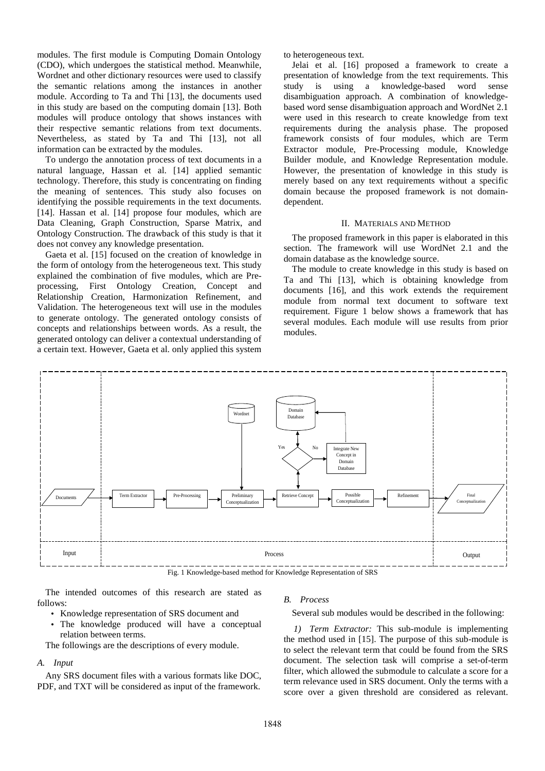modules. The first module is Computing Domain Ontology (CDO), which undergoes the statistical method. Meanwhile, Wordnet and other dictionary resources were used to classify the semantic relations among the instances in another module. According to Ta and Thi [13], the documents used in this study are based on the computing domain [13]. Both modules will produce ontology that shows instances with their respective semantic relations from text documents. Nevertheless, as stated by Ta and Thi [13], not all information can be extracted by the modules.

To undergo the annotation process of text documents in a natural language, Hassan et al. [14] applied semantic technology. Therefore, this study is concentrating on finding the meaning of sentences. This study also focuses on identifying the possible requirements in the text documents. [14]. Hassan et al. [14] propose four modules, which are Data Cleaning, Graph Construction, Sparse Matrix, and Ontology Construction. The drawback of this study is that it does not convey any knowledge presentation.

Gaeta et al. [15] focused on the creation of knowledge in the form of ontology from the heterogeneous text. This study explained the combination of five modules, which are Preprocessing, First Ontology Creation, Concept and Relationship Creation, Harmonization Refinement, and Validation. The heterogeneous text will use in the modules to generate ontology. The generated ontology consists of concepts and relationships between words. As a result, the generated ontology can deliver a contextual understanding of a certain text. However, Gaeta et al. only applied this system

to heterogeneous text.

Jelai et al. [16] proposed a framework to create a presentation of knowledge from the text requirements. This study is using a knowledge-based word sense disambiguation approach. A combination of knowledgebased word sense disambiguation approach and WordNet 2.1 were used in this research to create knowledge from text requirements during the analysis phase. The proposed framework consists of four modules, which are Term Extractor module, Pre-Processing module, Knowledge Builder module, and Knowledge Representation module. However, the presentation of knowledge in this study is merely based on any text requirements without a specific domain because the proposed framework is not domaindependent.

#### II. MATERIALS AND METHOD

The proposed framework in this paper is elaborated in this section. The framework will use WordNet 2.1 and the domain database as the knowledge source.

The module to create knowledge in this study is based on Ta and Thi [13], which is obtaining knowledge from documents [16], and this work extends the requirement module from normal text document to software text requirement. Figure 1 below shows a framework that has several modules. Each module will use results from prior modules.



Fig. 1 Knowledge-based method for Knowledge Representation of SRS

The intended outcomes of this research are stated as follows:

- Knowledge representation of SRS document and
- The knowledge produced will have a conceptual relation between terms.

The followings are the descriptions of every module.

*A. Input* 

Any SRS document files with a various formats like DOC, PDF, and TXT will be considered as input of the framework.

#### *B. Process*

Several sub modules would be described in the following:

*1) Term Extractor:* This sub-module is implementing the method used in [15]. The purpose of this sub-module is to select the relevant term that could be found from the SRS document. The selection task will comprise a set-of-term filter, which allowed the submodule to calculate a score for a term relevance used in SRS document. Only the terms with a score over a given threshold are considered as relevant.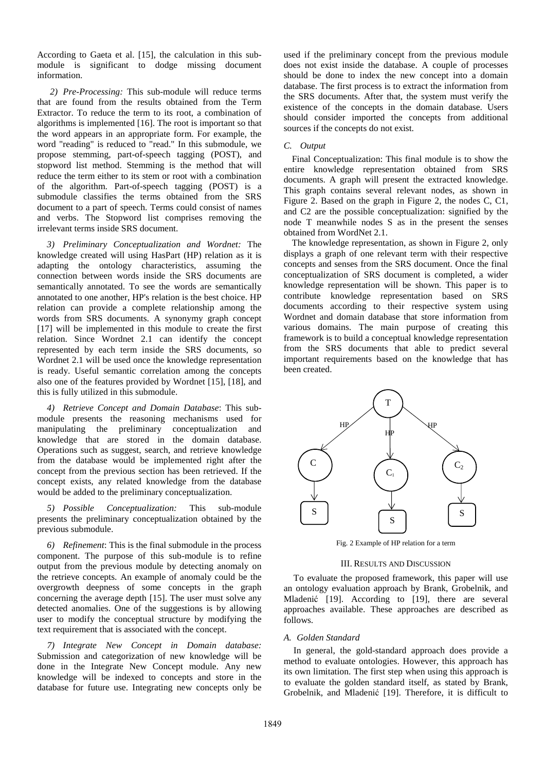According to Gaeta et al. [15], the calculation in this submodule is significant to dodge missing document information.

*2) Pre-Processing:* This sub-module will reduce terms that are found from the results obtained from the Term Extractor. To reduce the term to its root, a combination of algorithms is implemented [16]. The root is important so that the word appears in an appropriate form. For example, the word "reading" is reduced to "read." In this submodule, we propose stemming, part-of-speech tagging (POST), and stopword list method. Stemming is the method that will reduce the term either to its stem or root with a combination of the algorithm. Part-of-speech tagging (POST) is a submodule classifies the terms obtained from the SRS document to a part of speech. Terms could consist of names and verbs. The Stopword list comprises removing the irrelevant terms inside SRS document.

*3) Preliminary Conceptualization and Wordnet:* The knowledge created will using HasPart (HP) relation as it is adapting the ontology characteristics, assuming the connection between words inside the SRS documents are semantically annotated. To see the words are semantically annotated to one another, HP's relation is the best choice. HP relation can provide a complete relationship among the words from SRS documents. A synonymy graph concept [17] will be implemented in this module to create the first relation. Since Wordnet 2.1 can identify the concept represented by each term inside the SRS documents, so Wordnet 2.1 will be used once the knowledge representation is ready. Useful semantic correlation among the concepts also one of the features provided by Wordnet [15], [18], and this is fully utilized in this submodule.

*4) Retrieve Concept and Domain Database*: This submodule presents the reasoning mechanisms used for manipulating the preliminary conceptualization and knowledge that are stored in the domain database. Operations such as suggest, search, and retrieve knowledge from the database would be implemented right after the concept from the previous section has been retrieved. If the concept exists, any related knowledge from the database would be added to the preliminary conceptualization.

*5) Possible Conceptualization:* This sub-module presents the preliminary conceptualization obtained by the previous submodule.

*6) Refinement*: This is the final submodule in the process component. The purpose of this sub-module is to refine output from the previous module by detecting anomaly on the retrieve concepts. An example of anomaly could be the overgrowth deepness of some concepts in the graph concerning the average depth [15]. The user must solve any detected anomalies. One of the suggestions is by allowing user to modify the conceptual structure by modifying the text requirement that is associated with the concept.

*7) Integrate New Concept in Domain database:* Submission and categorization of new knowledge will be done in the Integrate New Concept module. Any new knowledge will be indexed to concepts and store in the database for future use. Integrating new concepts only be used if the preliminary concept from the previous module does not exist inside the database. A couple of processes should be done to index the new concept into a domain database. The first process is to extract the information from the SRS documents. After that, the system must verify the existence of the concepts in the domain database. Users should consider imported the concepts from additional sources if the concepts do not exist.

## *C. Output*

Final Conceptualization: This final module is to show the entire knowledge representation obtained from SRS documents. A graph will present the extracted knowledge. This graph contains several relevant nodes, as shown in Figure 2. Based on the graph in Figure 2, the nodes C, C1, and C2 are the possible conceptualization: signified by the node T meanwhile nodes S as in the present the senses obtained from WordNet 2.1.

The knowledge representation, as shown in Figure 2, only displays a graph of one relevant term with their respective concepts and senses from the SRS document. Once the final conceptualization of SRS document is completed, a wider knowledge representation will be shown. This paper is to contribute knowledge representation based on SRS documents according to their respective system using Wordnet and domain database that store information from various domains. The main purpose of creating this framework is to build a conceptual knowledge representation from the SRS documents that able to predict several important requirements based on the knowledge that has been created.



Fig. 2 Example of HP relation for a term

## III. RESULTS AND DISCUSSION

To evaluate the proposed framework, this paper will use an ontology evaluation approach by Brank, Grobelnik, and Mladenić [19]. According to [19], there are several approaches available. These approaches are described as follows.

#### *A. Golden Standard*

In general, the gold-standard approach does provide a method to evaluate ontologies. However, this approach has its own limitation. The first step when using this approach is to evaluate the golden standard itself, as stated by Brank, Grobelnik, and Mladenić [19]. Therefore, it is difficult to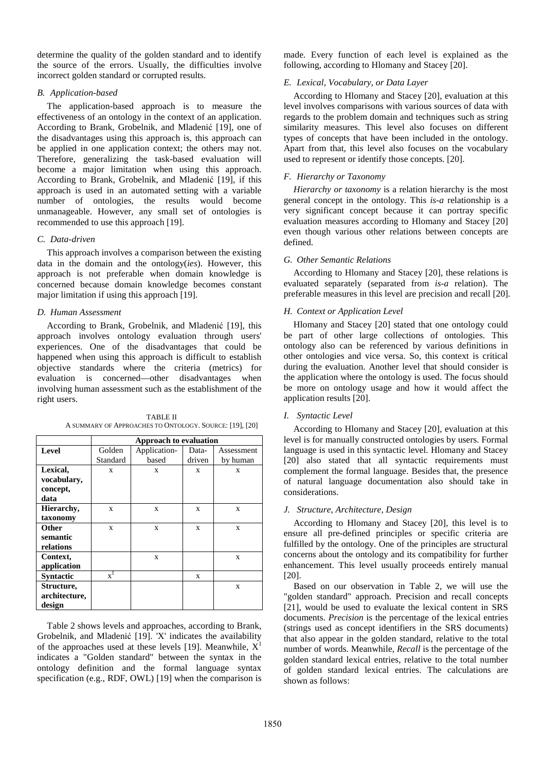determine the quality of the golden standard and to identify the source of the errors. Usually, the difficulties involve incorrect golden standard or corrupted results.

# *B. Application-based*

The application-based approach is to measure the effectiveness of an ontology in the context of an application. According to Brank, Grobelnik, and Mladenić [19], one of the disadvantages using this approach is, this approach can be applied in one application context; the others may not. Therefore, generalizing the task-based evaluation will become a major limitation when using this approach. According to Brank, Grobelnik, and Mladenić [19], if this approach is used in an automated setting with a variable number of ontologies, the results would become unmanageable. However, any small set of ontologies is recommended to use this approach [19].

## *C. Data-driven*

This approach involves a comparison between the existing data in the domain and the ontology(*ies*). However, this approach is not preferable when domain knowledge is concerned because domain knowledge becomes constant major limitation if using this approach [19].

### *D. Human Assessment*

According to Brank, Grobelnik, and Mladenić [19], this approach involves ontology evaluation through users' experiences. One of the disadvantages that could be happened when using this approach is difficult to establish objective standards where the criteria (metrics) for evaluation is concerned—other disadvantages when involving human assessment such as the establishment of the right users.

| <b>TABLE II</b>                                         |
|---------------------------------------------------------|
| A SUMMARY OF APPROACHES TO ONTOLOGY. SOURCE: [19], [20] |

|                  | <b>Approach to evaluation</b> |              |        |            |  |  |
|------------------|-------------------------------|--------------|--------|------------|--|--|
| Level            | Golden                        | Application- | Data-  | Assessment |  |  |
|                  | Standard                      | based        | driven | by human   |  |  |
| Lexical,         | X                             | X            | X      | X          |  |  |
| vocabulary,      |                               |              |        |            |  |  |
| concept,         |                               |              |        |            |  |  |
| data             |                               |              |        |            |  |  |
| Hierarchy,       | X                             | X            | X      | X          |  |  |
| taxonomy         |                               |              |        |            |  |  |
| Other            | X                             | X            | X      | X          |  |  |
| semantic         |                               |              |        |            |  |  |
| relations        |                               |              |        |            |  |  |
| Context,         |                               | X            |        | X          |  |  |
| application      |                               |              |        |            |  |  |
| <b>Syntactic</b> | $x^1$                         |              | X      |            |  |  |
| Structure,       |                               |              |        | X          |  |  |
| architecture,    |                               |              |        |            |  |  |
| design           |                               |              |        |            |  |  |

Table 2 shows levels and approaches, according to Brank, Grobelnik, and Mladenić [19]. 'X' indicates the availability of the approaches used at these levels [19]. Meanwhile,  $X<sup>1</sup>$ indicates a "Golden standard" between the syntax in the ontology definition and the formal language syntax specification (e.g., RDF, OWL) [19] when the comparison is

made. Every function of each level is explained as the following, according to Hlomany and Stacey [20].

# *E. Lexical, Vocabulary, or Data Layer*

According to Hlomany and Stacey [20], evaluation at this level involves comparisons with various sources of data with regards to the problem domain and techniques such as string similarity measures. This level also focuses on different types of concepts that have been included in the ontology. Apart from that, this level also focuses on the vocabulary used to represent or identify those concepts. [20].

# *F. Hierarchy or Taxonomy*

*Hierarchy or taxonomy* is a relation hierarchy is the most general concept in the ontology. This *is-a* relationship is a very significant concept because it can portray specific evaluation measures according to Hlomany and Stacey [20] even though various other relations between concepts are defined.

# *G. Other Semantic Relations*

According to Hlomany and Stacey [20], these relations is evaluated separately (separated from *is-a* relation). The preferable measures in this level are precision and recall [20].

# *H. Context or Application Level*

Hlomany and Stacey [20] stated that one ontology could be part of other large collections of ontologies. This ontology also can be referenced by various definitions in other ontologies and vice versa. So, this context is critical during the evaluation. Another level that should consider is the application where the ontology is used. The focus should be more on ontology usage and how it would affect the application results [20].

# *I. Syntactic Level*

According to Hlomany and Stacey [20], evaluation at this level is for manually constructed ontologies by users. Formal language is used in this syntactic level. Hlomany and Stacey [20] also stated that all syntactic requirements must complement the formal language. Besides that, the presence of natural language documentation also should take in considerations.

# *J. Structure*, *Architecture, Design*

According to Hlomany and Stacey [20], this level is to ensure all pre-defined principles or specific criteria are fulfilled by the ontology. One of the principles are structural concerns about the ontology and its compatibility for further enhancement. This level usually proceeds entirely manual [20].

Based on our observation in Table 2, we will use the "golden standard" approach. Precision and recall concepts [21], would be used to evaluate the lexical content in SRS documents. *Precision* is the percentage of the lexical entries (strings used as concept identifiers in the SRS documents) that also appear in the golden standard, relative to the total number of words. Meanwhile, *Recall* is the percentage of the golden standard lexical entries, relative to the total number of golden standard lexical entries. The calculations are shown as follows: